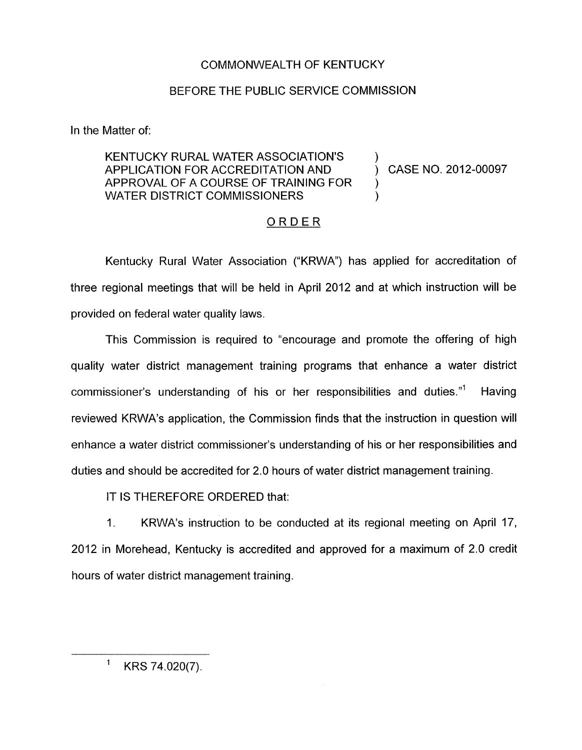## COMMONWEALTH OF KENTUCKY

## BEFORE THE PUBLIC SERVICE COMMISSION

In the Matter of:

## KENTUCKY RURAL WATER ASSOCIATION'S  $\longrightarrow$  ) CASE NO. 2012-00097 APPROVAL OF A COURSE OF TRAINING FOR WATER DISTRICT COMMISSIONERS

)

## ORDER

Kentucky Rural Water Association ("KRWA') has applied for accreditation of three regional meetings that will be held in April 2012 and at which instruction will be provided on federal water quality laws.

This Commission is required to "encourage and promote the offering of high quality water district management training programs that enhance a water district commissioner's understanding of his or her responsibilities and duties."' Having reviewed KRWA's application, the Commission finds that the instruction in question will enhance a water district commissioner's understanding of his or her responsibilities and duties and should be accredited for 2.0 hours of water district management training.

IT IS THEREFORE ORDERED that:

1. KRWA's instruction to be conducted at its regional meeting on April 17, 2012 in Morehead, Kentucky is accredited and approved for a maximum of 2.0 credit hours of water district management training.

 $1$  KRS 74.020(7).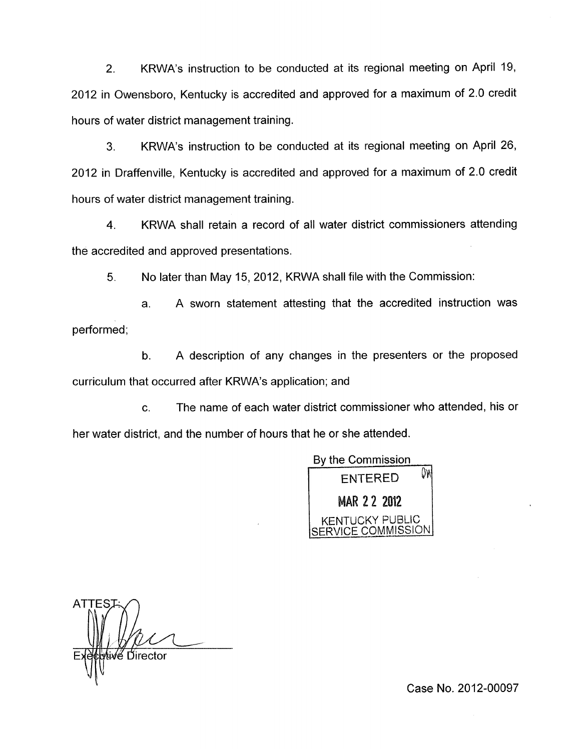2. KRWA's instruction to be conducted at its regional meeting on April 19, 2012 in Owensboro, Kentucky is accredited and approved for a maximum of 2.0 credit hours of water district management training.

**3.** KRWA's instruction to be conducted at its regional meeting on April 26, 2012 in Draffenville, Kentucky is accredited and approved for a maximum of 2.0 credit hours of water district management training.

**4.** KRWA shall retain a record of all water district commissioners attending the accredited and approved presentations.

5. No later than May 15, 2012, KRWA shall file with the Commission:

a. A sworn statement attesting that the accredited instruction was performed;

b. A description of any changes in the presenters or the proposed curriculum that occurred after KRWA's application; and

c. The name of each water district commissioner who attended, his or her water district, and the number of hours that he or she attended.

*y* and<br> *y* is the presenters or the proposed<br>
tion; and<br> *y* the commissioner who attended, his or<br> *By* the Commission<br>
ENTERED<br> **MAR 2 2 2012**<br> **KENTUCKY PUBLIC<br>
SERVICE COMMISSION** KENTUCKY PUBLIC VICE COMMISSION

**ATTE** √e⁄ Director

Case No. 2012-00097